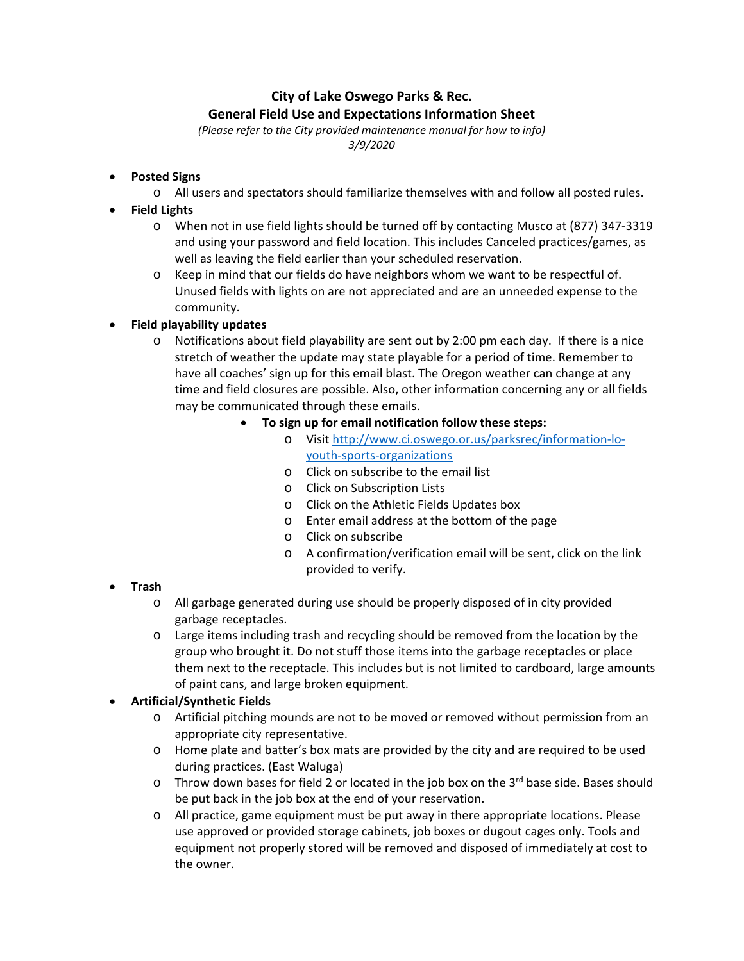# **City of Lake Oswego Parks & Rec. General Field Use and Expectations Information Sheet**

*(Please refer to the City provided maintenance manual for how to info) 3/9/2020* 

- **Posted Signs** 
	- o All users and spectators should familiarize themselves with and follow all posted rules.
- **Field Lights** 
	- o When not in use field lights should be turned off by contacting Musco at (877) 347‐3319 and using your password and field location. This includes Canceled practices/games, as well as leaving the field earlier than your scheduled reservation.
	- o Keep in mind that our fields do have neighbors whom we want to be respectful of. Unused fields with lights on are not appreciated and are an unneeded expense to the community.

# **Field playability updates**

- o Notifications about field playability are sent out by 2:00 pm each day. If there is a nice stretch of weather the update may state playable for a period of time. Remember to have all coaches' sign up for this email blast. The Oregon weather can change at any time and field closures are possible. Also, other information concerning any or all fields may be communicated through these emails.
	- **To sign up for email notification follow these steps:** 
		- o Visit http://www.ci.oswego.or.us/parksrec/information‐lo‐ youth‐sports‐organizations
		- o Click on subscribe to the email list
		- o Click on Subscription Lists
		- o Click on the Athletic Fields Updates box
		- o Enter email address at the bottom of the page
		- o Click on subscribe
		- o A confirmation/verification email will be sent, click on the link provided to verify.

- **Trash** 
	- o All garbage generated during use should be properly disposed of in city provided garbage receptacles.
	- o Large items including trash and recycling should be removed from the location by the group who brought it. Do not stuff those items into the garbage receptacles or place them next to the receptacle. This includes but is not limited to cardboard, large amounts of paint cans, and large broken equipment.

# **Artificial/Synthetic Fields**

- o Artificial pitching mounds are not to be moved or removed without permission from an appropriate city representative.
- o Home plate and batter's box mats are provided by the city and are required to be used during practices. (East Waluga)
- $\circ$  Throw down bases for field 2 or located in the job box on the 3<sup>rd</sup> base side. Bases should be put back in the job box at the end of your reservation.
- o All practice, game equipment must be put away in there appropriate locations. Please use approved or provided storage cabinets, job boxes or dugout cages only. Tools and equipment not properly stored will be removed and disposed of immediately at cost to the owner.